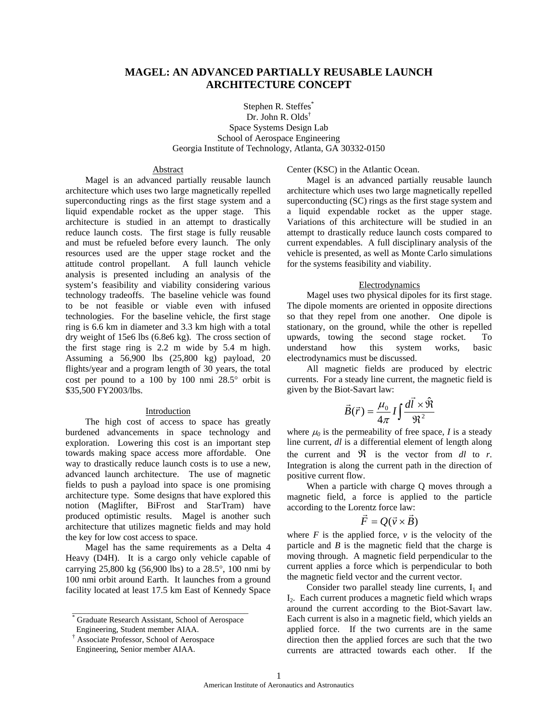# **MAGEL: AN ADVANCED PARTIALLY REUSABLE LAUNCH ARCHITECTURE CONCEPT**

Stephen R. Steffes\* Dr. John R. Olds<sup>†</sup> Space Systems Design Lab School of Aerospace Engineering Georgia Institute of Technology, Atlanta, GA 30332-0150

# Abstract

Magel is an advanced partially reusable launch architecture which uses two large magnetically repelled superconducting rings as the first stage system and a liquid expendable rocket as the upper stage. This architecture is studied in an attempt to drastically reduce launch costs. The first stage is fully reusable and must be refueled before every launch. The only resources used are the upper stage rocket and the attitude control propellant. A full launch vehicle analysis is presented including an analysis of the system's feasibility and viability considering various technology tradeoffs. The baseline vehicle was found to be not feasible or viable even with infused technologies. For the baseline vehicle, the first stage ring is 6.6 km in diameter and 3.3 km high with a total dry weight of 15e6 lbs (6.8e6 kg). The cross section of the first stage ring is 2.2 m wide by 5.4 m high. Assuming a 56,900 lbs (25,800 kg) payload, 20 flights/year and a program length of 30 years, the total cost per pound to a 100 by 100 nmi 28.5° orbit is \$35,500 FY2003/lbs.

### Introduction

The high cost of access to space has greatly burdened advancements in space technology and exploration. Lowering this cost is an important step towards making space access more affordable. One way to drastically reduce launch costs is to use a new, advanced launch architecture. The use of magnetic fields to push a payload into space is one promising architecture type. Some designs that have explored this notion (Maglifter, BiFrost and StarTram) have produced optimistic results. Magel is another such architecture that utilizes magnetic fields and may hold the key for low cost access to space.

Magel has the same requirements as a Delta 4 Heavy (D4H). It is a cargo only vehicle capable of carrying 25,800 kg (56,900 lbs) to a 28.5°, 100 nmi by 100 nmi orbit around Earth. It launches from a ground facility located at least 17.5 km East of Kennedy Space

Center (KSC) in the Atlantic Ocean.

Magel is an advanced partially reusable launch architecture which uses two large magnetically repelled superconducting (SC) rings as the first stage system and a liquid expendable rocket as the upper stage. Variations of this architecture will be studied in an attempt to drastically reduce launch costs compared to current expendables. A full disciplinary analysis of the vehicle is presented, as well as Monte Carlo simulations for the systems feasibility and viability.

### **Electrodynamics**

Magel uses two physical dipoles for its first stage. The dipole moments are oriented in opposite directions so that they repel from one another. One dipole is stationary, on the ground, while the other is repelled upwards, towing the second stage rocket. To understand how this system works, basic electrodynamics must be discussed.

All magnetic fields are produced by electric currents. For a steady line current, the magnetic field is given by the Biot-Savart law:

$$
\vec{B}(\vec{r}) = \frac{\mu_0}{4\pi} I \int \frac{d\vec{l} \times \hat{\mathfrak{R}}}{\mathfrak{R}^2}
$$

where  $\mu_0$  is the permeability of free space, *I* is a steady line current, *dl* is a differential element of length along the current and  $\Re$  is the vector from *dl* to *r*. Integration is along the current path in the direction of positive current flow.

When a particle with charge Q moves through a magnetic field, a force is applied to the particle according to the Lorentz force law:<br> $\vec{F} = \vec{O}(\vec{v} \times \vec{B})$ 

$$
\vec{F} = Q(\vec{v} \times \vec{B})
$$

where  $F$  is the applied force,  $v$  is the velocity of the particle and *B* is the magnetic field that the charge is moving through. A magnetic field perpendicular to the current applies a force which is perpendicular to both the magnetic field vector and the current vector.

Consider two parallel steady line currents,  $I_1$  and I2. Each current produces a magnetic field which wraps around the current according to the Biot-Savart law. Each current is also in a magnetic field, which yields an applied force. If the two currents are in the same direction then the applied forces are such that the two currents are attracted towards each other. If the

\_\_\_\_\_\_\_\_\_\_\_\_\_\_\_\_\_\_\_\_\_\_\_\_\_\_\_\_\_\_\_\_\_\_\_\_\_\_\_\_\_\_\_ \* Graduate Research Assistant, School of Aerospace Engineering, Student member AIAA.

<sup>†</sup> Associate Professor, School of Aerospace Engineering, Senior member AIAA.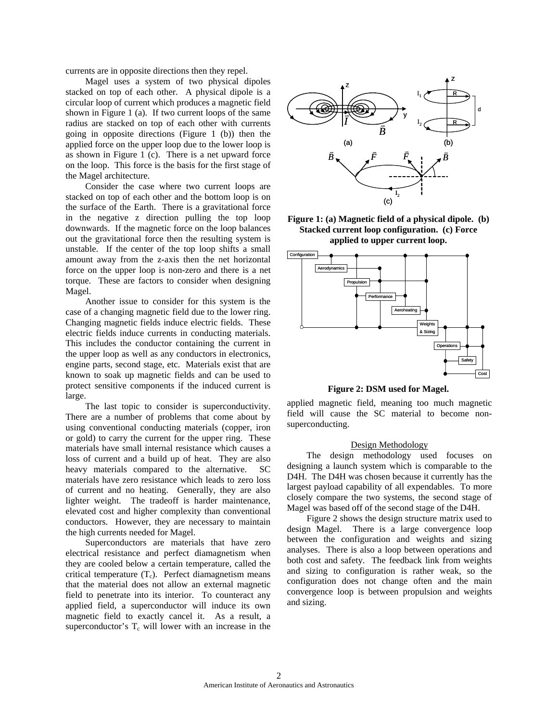currents are in opposite directions then they repel.

Magel uses a system of two physical dipoles stacked on top of each other. A physical dipole is a circular loop of current which produces a magnetic field shown in Figure 1 (a). If two current loops of the same radius are stacked on top of each other with currents going in opposite directions (Figure 1 (b)) then the applied force on the upper loop due to the lower loop is as shown in Figure 1 (c). There is a net upward force on the loop. This force is the basis for the first stage of the Magel architecture.

Consider the case where two current loops are stacked on top of each other and the bottom loop is on the surface of the Earth. There is a gravitational force in the negative z direction pulling the top loop downwards. If the magnetic force on the loop balances out the gravitational force then the resulting system is unstable. If the center of the top loop shifts a small amount away from the z-axis then the net horizontal force on the upper loop is non-zero and there is a net torque. These are factors to consider when designing Magel.

Another issue to consider for this system is the case of a changing magnetic field due to the lower ring. Changing magnetic fields induce electric fields. These electric fields induce currents in conducting materials. This includes the conductor containing the current in the upper loop as well as any conductors in electronics, engine parts, second stage, etc. Materials exist that are known to soak up magnetic fields and can be used to protect sensitive components if the induced current is large.

The last topic to consider is superconductivity. There are a number of problems that come about by using conventional conducting materials (copper, iron or gold) to carry the current for the upper ring. These materials have small internal resistance which causes a loss of current and a build up of heat. They are also heavy materials compared to the alternative. SC materials have zero resistance which leads to zero loss of current and no heating. Generally, they are also lighter weight. The tradeoff is harder maintenance, elevated cost and higher complexity than conventional conductors. However, they are necessary to maintain the high currents needed for Magel.

Superconductors are materials that have zero electrical resistance and perfect diamagnetism when they are cooled below a certain temperature, called the critical temperature  $(T_c)$ . Perfect diamagnetism means that the material does not allow an external magnetic field to penetrate into its interior. To counteract any applied field, a superconductor will induce its own magnetic field to exactly cancel it. As a result, a superconductor's  $T_c$  will lower with an increase in the



**Figure 1: (a) Magnetic field of a physical dipole. (b) Stacked current loop configuration. (c) Force applied to upper current loop.** 



**Figure 2: DSM used for Magel.**

applied magnetic field, meaning too much magnetic field will cause the SC material to become nonsuperconducting.

### Design Methodology

The design methodology used focuses on designing a launch system which is comparable to the D4H. The D4H was chosen because it currently has the largest payload capability of all expendables. To more closely compare the two systems, the second stage of Magel was based off of the second stage of the D4H.

Figure 2 shows the design structure matrix used to design Magel. There is a large convergence loop between the configuration and weights and sizing analyses. There is also a loop between operations and both cost and safety. The feedback link from weights and sizing to configuration is rather weak, so the configuration does not change often and the main convergence loop is between propulsion and weights and sizing.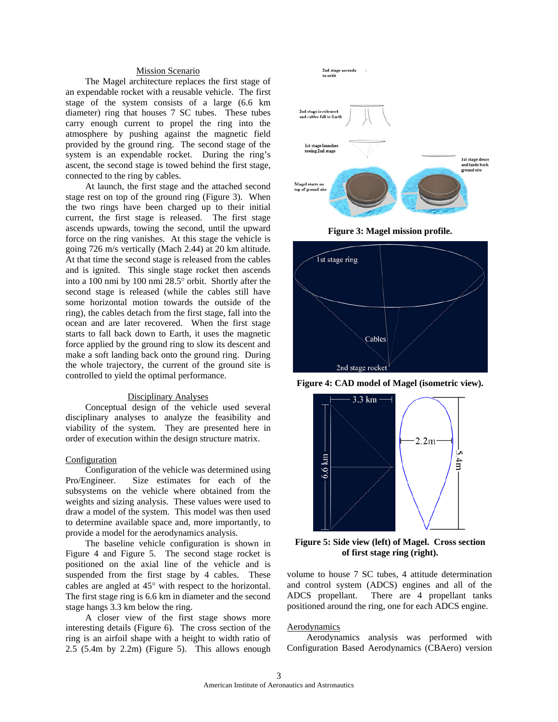# Mission Scenario

The Magel architecture replaces the first stage of an expendable rocket with a reusable vehicle. The first stage of the system consists of a large (6.6 km diameter) ring that houses 7 SC tubes. These tubes carry enough current to propel the ring into the atmosphere by pushing against the magnetic field provided by the ground ring. The second stage of the system is an expendable rocket. During the ring's ascent, the second stage is towed behind the first stage, connected to the ring by cables.

At launch, the first stage and the attached second stage rest on top of the ground ring (Figure 3). When the two rings have been charged up to their initial current, the first stage is released. The first stage ascends upwards, towing the second, until the upward force on the ring vanishes. At this stage the vehicle is going 726 m/s vertically (Mach 2.44) at 20 km altitude. At that time the second stage is released from the cables and is ignited. This single stage rocket then ascends into a 100 nmi by 100 nmi 28.5° orbit. Shortly after the second stage is released (while the cables still have some horizontal motion towards the outside of the ring), the cables detach from the first stage, fall into the ocean and are later recovered. When the first stage starts to fall back down to Earth, it uses the magnetic force applied by the ground ring to slow its descent and make a soft landing back onto the ground ring. During the whole trajectory, the current of the ground site is controlled to yield the optimal performance.

#### Disciplinary Analyses

Conceptual design of the vehicle used several disciplinary analyses to analyze the feasibility and viability of the system. They are presented here in order of execution within the design structure matrix.

# Configuration

Configuration of the vehicle was determined using Pro/Engineer. Size estimates for each of the subsystems on the vehicle where obtained from the weights and sizing analysis. These values were used to draw a model of the system. This model was then used to determine available space and, more importantly, to provide a model for the aerodynamics analysis.

The baseline vehicle configuration is shown in Figure 4 and Figure 5. The second stage rocket is positioned on the axial line of the vehicle and is suspended from the first stage by 4 cables. These cables are angled at 45° with respect to the horizontal. The first stage ring is 6.6 km in diameter and the second stage hangs 3.3 km below the ring.

A closer view of the first stage shows more interesting details (Figure 6). The cross section of the ring is an airfoil shape with a height to width ratio of 2.5 (5.4m by 2.2m) (Figure 5). This allows enough



**Figure 3: Magel mission profile.** 



**Figure 4: CAD model of Magel (isometric view).** 



**Figure 5: Side view (left) of Magel. Cross section of first stage ring (right).** 

volume to house 7 SC tubes, 4 attitude determination and control system (ADCS) engines and all of the ADCS propellant. There are 4 propellant tanks positioned around the ring, one for each ADCS engine.

### **Aerodynamics**

Aerodynamics analysis was performed with Configuration Based Aerodynamics (CBAero) version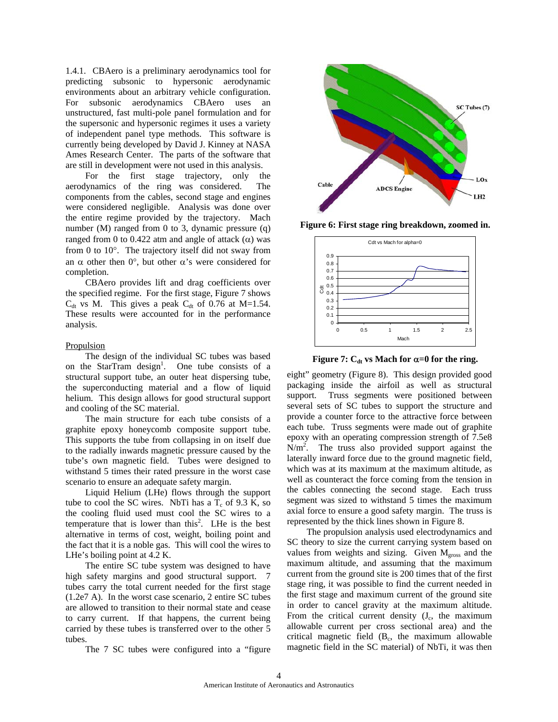1.4.1. CBAero is a preliminary aerodynamics tool for predicting subsonic to hypersonic aerodynamic environments about an arbitrary vehicle configuration. For subsonic aerodynamics CBAero uses an unstructured, fast multi-pole panel formulation and for the supersonic and hypersonic regimes it uses a variety of independent panel type methods. This software is currently being developed by David J. Kinney at NASA Ames Research Center. The parts of the software that are still in development were not used in this analysis.

For the first stage trajectory, only the aerodynamics of the ring was considered. The components from the cables, second stage and engines were considered negligible. Analysis was done over the entire regime provided by the trajectory. Mach number (M) ranged from 0 to 3, dynamic pressure (q) ranged from 0 to 0.422 atm and angle of attack  $(α)$  was from 0 to 10°. The trajectory itself did not sway from an  $\alpha$  other then 0°, but other  $\alpha$ 's were considered for completion.

CBAero provides lift and drag coefficients over the specified regime. For the first stage, Figure 7 shows  $C_{dt}$  vs M. This gives a peak  $C_{dt}$  of 0.76 at M=1.54. These results were accounted for in the performance analysis.

#### Propulsion

<span id="page-3-0"></span>The design of the individual SC tubes was based on the StarTram design<sup>1</sup>. One tube consists of a structural support tube, an outer heat dispersing tube, the superconducting material and a flow of liquid helium. This design allows for good structural support and cooling of the SC material.

The main structure for each tube consists of a graphite epoxy honeycomb composite support tube. This supports the tube from collapsing in on itself due to the radially inwards magnetic pressure caused by the tube's own magnetic field. Tubes were designed to withstand 5 times their rated pressure in the worst case scenario to ensure an adequate safety margin.

Liquid Helium (LHe) flows through the support tube to cool the SC wires. NbTi has a  $T_c$  of 9.3 K, so the cooling fluid used must cool the SC wires to a temperature that is lower than this<sup>2</sup>. LHe is the best alternative in terms of cost, weight, boiling point and the fact that it is a noble gas. This will cool the wires to LHe's boiling point at 4.2 K.

The entire SC tube system was designed to have high safety margins and good structural support. 7 tubes carry the total current needed for the first stage (1.2e7 A). In the worst case scenario, 2 entire SC tubes are allowed to transition to their normal state and cease to carry current. If that happens, the current being carried by these tubes is transferred over to the other 5 tubes.

The 7 SC tubes were configured into a "figure



**Figure 6: First stage ring breakdown, zoomed in.** 



**Figure 7:**  $C_{dt}$  **vs Mach for**  $\alpha=0$  **for the ring.** 

eight" geometry (Figure 8). This design provided good packaging inside the airfoil as well as structural support. Truss segments were positioned between several sets of SC tubes to support the structure and provide a counter force to the attractive force between each tube. Truss segments were made out of graphite epoxy with an operating compression strength of 7.5e8  $N/m<sup>2</sup>$ . The truss also provided support against the laterally inward force due to the ground magnetic field, which was at its maximum at the maximum altitude, as well as counteract the force coming from the tension in the cables connecting the second stage. Each truss segment was sized to withstand 5 times the maximum axial force to ensure a good safety margin. The truss is represented by the thick lines shown in Figure 8.

<span id="page-3-1"></span> The propulsion analysis used electrodynamics and SC theory to size the current carrying system based on values from weights and sizing. Given  $M<sub>cross</sub>$  and the maximum altitude, and assuming that the maximum current from the ground site is 200 times that of the first stage ring, it was possible to find the current needed in the first stage and maximum current of the ground site in order to cancel gravity at the maximum altitude. From the critical current density  $(J_c, t)$  the maximum allowable current per cross sectional area) and the critical magnetic field  $(B_c, th$ e maximum allowable magnetic field in the SC material) of NbTi, it was then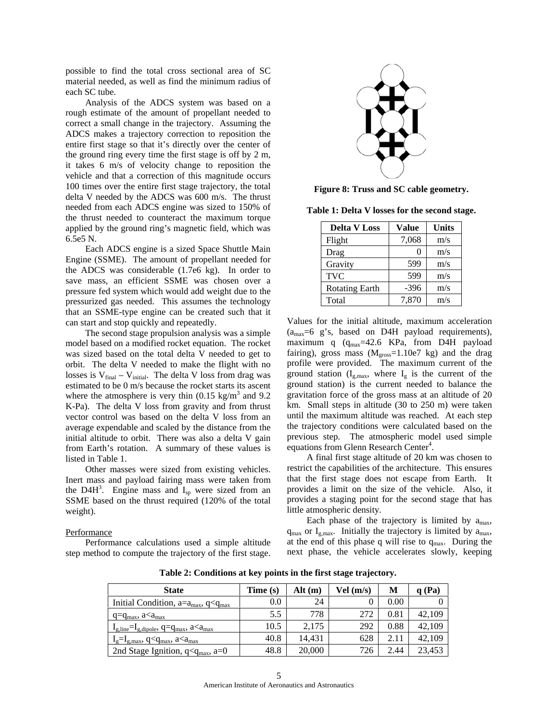possible to find the total cross sectional area of SC material needed, as well as find the minimum radius of each SC tube.

Analysis of the ADCS system was based on a rough estimate of the amount of propellant needed to correct a small change in the trajectory. Assuming the ADCS makes a trajectory correction to reposition the entire first stage so that it's directly over the center of the ground ring every time the first stage is off by 2 m, it takes 6 m/s of velocity change to reposition the vehicle and that a correction of this magnitude occurs 100 times over the entire first stage trajectory, the total delta V needed by the ADCS was 600 m/s. The thrust needed from each ADCS engine was sized to 150% of the thrust needed to counteract the maximum torque applied by the ground ring's magnetic field, which was 6.5e5 N.

Each ADCS engine is a sized Space Shuttle Main Engine (SSME). The amount of propellant needed for the ADCS was considerable (1.7e6 kg). In order to save mass, an efficient SSME was chosen over a pressure fed system which would add weight due to the pressurized gas needed. This assumes the technology that an SSME-type engine can be created such that it can start and stop quickly and repeatedly.

The second stage propulsion analysis was a simple model based on a modified rocket equation. The rocket was sized based on the total delta V needed to get to orbit. The delta V needed to make the flight with no losses is  $V_{final} - V_{initial}$ . The delta V loss from drag was estimated to be 0 m/s because the rocket starts its ascent where the atmosphere is very thin  $(0.15 \text{ kg/m}^3 \text{ and } 9.2 \text{ m}^3)$ K-Pa). The delta V loss from gravity and from thrust vector control was based on the delta V loss from an average expendable and scaled by the distance from the initial altitude to orbit. There was also a delta V gain from Earth's rotation. A summary of these values is listed in Table 1.

<span id="page-4-0"></span>Other masses were sized from existing vehicles. Inert mass and payload fairing mass were taken from the D4H<sup>[3](#page-10-2)</sup>. Engine mass and  $I_{sp}$  were sized from an SSME based on the thrust required (120% of the total weight).

# Performance

Performance calculations used a simple altitude step method to compute the trajectory of the first stage.



**Figure 8: Truss and SC cable geometry.** 

**Table 1: Delta V losses for the second stage.** 

| <b>Delta V Loss</b>   | <b>Value</b> | <b>Units</b> |
|-----------------------|--------------|--------------|
| Flight                | 7,068        | m/s          |
| Drag                  |              | m/s          |
| Gravity               | 599          | m/s          |
| <b>TVC</b>            | 599          | m/s          |
| <b>Rotating Earth</b> | $-396$       | m/s          |
| Total                 | 7,870        | m/s          |

Values for the initial altitude, maximum acceleration  $(a<sub>max</sub>=6 g's, based on D4H payload requirements)$ , maximum q (qmax=42.6 KPa, from D4H payload fairing), gross mass  $(M<sub>cross</sub>=1.10e7 kg)$  and the drag profile were provided. The maximum current of the ground station ( $I_{g,max}$ , where  $I_g$  is the current of the ground station) is the current needed to balance the gravitation force of the gross mass at an altitude of 20 km. Small steps in altitude (30 to 250 m) were taken until the maximum altitude was reached. At each step the trajectory conditions were calculated based on the previous step. The atmospheric model used simple equations from Glenn Research Center<sup>4</sup>.

A final first stage altitude of 20 km was chosen to restrict the capabilities of the architecture. This ensures that the first stage does not escape from Earth. It provides a limit on the size of the vehicle. Also, it provides a staging point for the second stage that has little atmospheric density.

Each phase of the trajectory is limited by  $a_{\text{max}}$ ,  $q_{\text{max}}$  or  $I_{g,\text{max}}$ . Initially the trajectory is limited by  $a_{\text{max}}$ , at the end of this phase q will rise to  $q_{max}$ . During the next phase, the vehicle accelerates slowly, keeping

**Table 2: Conditions at key points in the first stage trajectory.** 

| <b>State</b>                                                              | Time (s) | Alt(m) | Vel (m/s) | М    | $q$ (Pa) |
|---------------------------------------------------------------------------|----------|--------|-----------|------|----------|
| Initial Condition, $a=a_{max}$ , $q < q_{max}$                            | 0.0      | 24     |           | 0.00 |          |
| $q = q_{max}$ , a $\alpha_{max}$                                          | 5.5      | 778    | 272       | 0.81 | 42.109   |
| $I_{g, line} = I_{g, dipole}$ , q=q <sub>max</sub> , a <a<sub>max</a<sub> | 10.5     | 2.175  | 292       | 0.88 | 42,109   |
| $I_g = I_{g,\text{max}}$ , q <q<sub>max, a<a<sub>max</a<sub></q<sub>      | 40.8     | 14.431 | 628       | 2.11 | 42,109   |
| 2nd Stage Ignition, $q < q_{max}$ , a=0                                   | 48.8     | 20,000 | 726       | 2.44 | 23,453   |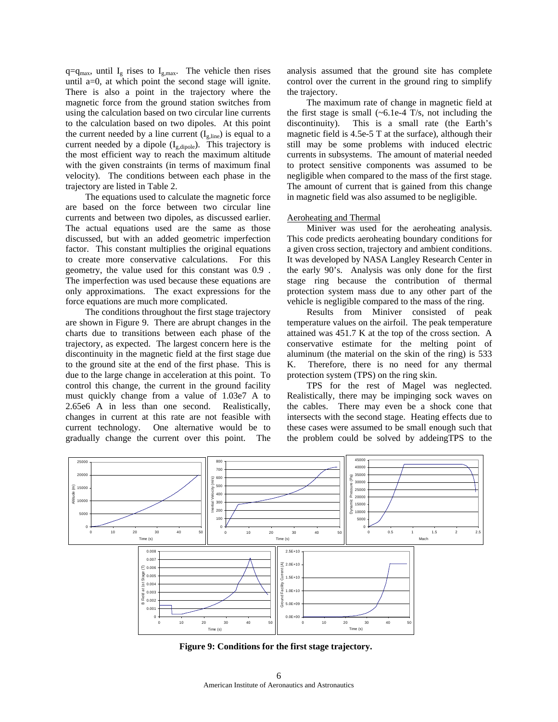$q=q_{\text{max}}$ , until  $I_g$  rises to  $I_{g,\text{max}}$ . The vehicle then rises until a=0, at which point the second stage will ignite. There is also a point in the trajectory where the magnetic force from the ground station switches from using the calculation based on two circular line currents to the calculation based on two dipoles. At this point the current needed by a line current  $(I_{g, line})$  is equal to a current needed by a dipole (I<sub>g,dipole</sub>). This trajectory is the most efficient way to reach the maximum altitude with the given constraints (in terms of maximum final velocity). The conditions between each phase in the trajectory are listed in Table 2.

The equations used to calculate the magnetic force are based on the force between two circular line currents and between two dipoles, as discussed earlier. The actual equations used are the same as those discussed, but with an added geometric imperfection factor. This constant multiplies the original equations to create more conservative calculations. For this geometry, the value used for this constant was 0.9 [.](#page-3-0) The imperfection was used because these equations are only approximations. The exact expressions for the force equations are much more complicated.

The conditions throughout the first stage trajectory are shown in Figure 9. There are abrupt changes in the charts due to transitions between each phase of the trajectory, as expected. The largest concern here is the discontinuity in the magnetic field at the first stage due to the ground site at the end of the first phase. This is due to the large change in acceleration at this point. To control this change, the current in the ground facility must quickly change from a value of 1.03e7 A to 2.65e6 A in less than one second. Realistically, changes in current at this rate are not feasible with current technology. One alternative would be to gradually change the current over this point. The

analysis assumed that the ground site has complete control over the current in the ground ring to simplify the trajectory.

The maximum rate of change in magnetic field at the first stage is small  $(-6.1e-4)$  T/s, not including the discontinuity). This is a small rate (the Earth's magnetic field is 4.5e-5 T at the surface), although their still may be some problems with induced electric currents in subsystems. The amount of material needed to protect sensitive components was assumed to be negligible when compared to the mass of the first stage. The amount of current that is gained from this change in magnetic field was also assumed to be negligible.

#### Aeroheating and Thermal

Miniver was used for the aeroheating analysis. This code predicts aeroheating boundary conditions for a given cross section, trajectory and ambient conditions. It was developed by NASA Langley Research Center in the early 90's. Analysis was only done for the first stage ring because the contribution of thermal protection system mass due to any other part of the vehicle is negligible compared to the mass of the ring.

Results from Miniver consisted of peak temperature values on the airfoil. The peak temperature attained was 451.7 K at the top of the cross section. A conservative estimate for the melting point of aluminum (the material on the skin of the ring) is 533 K. Therefore, there is no need for any thermal protection system (TPS) on the ring skin.

TPS for the rest of Magel was neglected. Realistically, there may be impinging sock waves on the cables. There may even be a shock cone that intersects with the second stage. Heating effects due to these cases were assumed to be small enough such that the problem could be solved by addeingTPS to the



**Figure 9: Conditions for the first stage trajectory.** 

American Institute of Aeronautics and Astronautics 6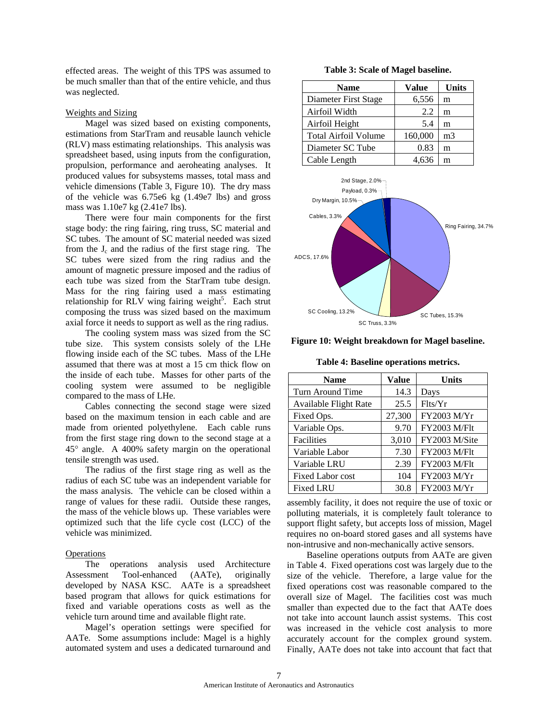effected areas. The weight of this TPS was assumed to be much smaller than that of the entire vehicle, and thus was neglected.

### Weights and Sizing

Magel was sized based on existing components, estimations from StarTram and reusable launch vehicle (RLV) mass estimating relationships. This analysis was spreadsheet based, using inputs from the configuration, propulsion, performance and aeroheating analyses. It produced values for subsystems masses, total mass and vehicle dimensions (Table 3, Figure 10). The dry mass of the vehicle was 6.75e6 kg (1.49e7 lbs) and gross mass was 1.10e7 kg (2.41e7 lbs).

There were four main components for the first stage body: the ring fairing, ring truss, SC material and SC tubes. The amount of SC material needed was sized from the  $J_c$  and the radius of the first stage ring. The SC tubes were sized from the ring radius and the amount of magnetic pressure imposed and the radius of each tube was sized from the StarTram tube design. Mass for the ring fairing used a mass estimating relationship for RLV wing fairing weight<sup>[5](#page-10-4)</sup>. Each strut composing the truss was sized based on the maximum axial force it needs to support as well as the ring radius.

The cooling system mass was sized from the SC tube size. This system consists solely of the LHe flowing inside each of the SC tubes. Mass of the LHe assumed that there was at most a 15 cm thick flow on the inside of each tub[e.](#page-3-0) Masses for other parts of the cooling system were assumed to be negligible compared to the mass of LHe.

Cables connecting the second stage were sized based on the maximum tension in each cable and are made from oriented polyethylene. Each cable runs from the first stage ring down to the second stage at a 45° angle. A 400% safety margin on the operational tensile strength was used.

The radius of the first stage ring as well as the radius of each SC tube was an independent variable for the mass analysis. The vehicle can be closed within a range of values for these radii. Outside these ranges, the mass of the vehicle blows up. These variables were optimized such that the life cycle cost (LCC) of the vehicle was minimized.

# **Operations**

The operations analysis used Architecture Assessment Tool-enhanced (AATe), originally developed by NASA KSC. AATe is a spreadsheet based program that allows for quick estimations for fixed and variable operations costs as well as the vehicle turn around time and available flight rate.

Magel's operation settings were specified for AATe. Some assumptions include: Magel is a highly automated system and uses a dedicated turnaround and

**Table 3: Scale of Magel baseline.** 

| <b>Name</b>                 | <b>Value</b> | Units          |
|-----------------------------|--------------|----------------|
| Diameter First Stage        | 6,556        | m              |
| Airfoil Width               | 2.2          | m              |
| Airfoil Height              | 5.4          | m              |
| <b>Total Airfoil Volume</b> | 160,000      | m <sub>3</sub> |
| Diameter SC Tube            | 0.83         | m              |
| Cable Length                | 4,636        |                |



**Figure 10: Weight breakdown for Magel baseline.** 

**Table 4: Baseline operations metrics.** 

| <b>Name</b>                  | Value  | Units               |
|------------------------------|--------|---------------------|
| Turn Around Time             | 14.3   | Days                |
| <b>Available Flight Rate</b> | 25.5   | Flts/Yr             |
| Fixed Ops.                   | 27,300 | FY2003 M/Yr         |
| Variable Ops.                | 9.70   | FY2003 M/Flt        |
| Facilities                   | 3,010  | FY2003 M/Site       |
| Variable Labor               | 7.30   | <b>FY2003 M/Flt</b> |
| Variable LRU                 | 2.39   | FY2003 M/Flt        |
| <b>Fixed Labor cost</b>      | 104    | FY2003 M/Yr         |
| <b>Fixed LRU</b>             | 30.8   | FY2003 M/Yr         |

assembly facility, it does not require the use of toxic or polluting materials, it is completely fault tolerance to support flight safety, but accepts loss of mission, Magel requires no on-board stored gases and all systems have non-intrusive and non-mechanically active sensors.

Baseline operations outputs from AATe are given in Table 4. Fixed operations cost was largely due to the size of the vehicle. Therefore, a large value for the fixed operations cost was reasonable compared to the overall size of Magel. The facilities cost was much smaller than expected due to the fact that AATe does not take into account launch assist systems. This cost was increased in the vehicle cost analysis to more accurately account for the complex ground system. Finally, AATe does not take into account that fact that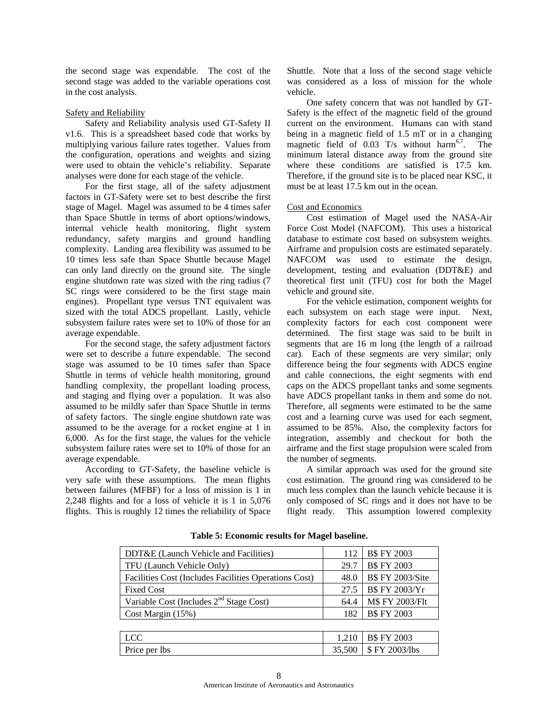the second stage was expendable. The cost of the second stage was added to the variable operations cost in the cost analysis.

# Safety and Reliability

Safety and Reliability analysis used GT-Safety II v1.6. This is a spreadsheet based code that works by multiplying various failure rates together. Values from the configuration, operations and weights and sizing were used to obtain the vehicle's reliability. Separate analyses were done for each stage of the vehicle.

For the first stage, all of the safety adjustment factors in GT-Safety were set to best describe the first stage of Magel. Magel was assumed to be 4 times safer than Space Shuttle in terms of abort options/windows, internal vehicle health monitoring, flight system redundancy, safety margins and ground handling complexity. Landing area flexibility was assumed to be 10 times less safe than Space Shuttle because Magel can only land directly on the ground site. The single engine shutdown rate was sized with the ring radius (7 SC rings were considered to be the first stage main engines). Propellant type versus TNT equivalent was sized with the total ADCS propellant. Lastly, vehicle subsystem failure rates were set to 10% of those for an average expendable.

For the second stage, the safety adjustment factors were set to describe a future expendable. The second stage was assumed to be 10 times safer than Space Shuttle in terms of vehicle health monitoring, ground handling complexity, the propellant loading process, and staging and flying over a population. It was also assumed to be mildly safer than Space Shuttle in terms of safety factors. The single engine shutdown rate was assumed to be the average for a rocket engine at 1 in 6,000. As for the first stage, the values for the vehicle subsystem failure rates were set to 10% of those for an average expendable.

According to GT-Safety, the baseline vehicle is very safe with these assumptions. The mean flights between failures (MFBF) for a loss of mission is 1 in 2,248 flights and for a loss of vehicle it is 1 in 5,076 flights. This is roughly 12 times the reliability of Space

Shuttle. Note that a loss of the second stage vehicle was considered as a loss of mission for the whole vehicle.

One safety concern that was not handled by GT-Safety is the effect of the magnetic field of the ground current on the environment. Humans can with stand being in a magnetic field of 1.5 mT or in a changing magnetic field of 0.03 T/s without harm<sup>6,[7](#page-10-6)</sup>. The minimum lateral distance away from the ground site where these conditions are satisfied is 17.5 km. Therefore, if the ground site is to be placed near KSC, it must be at least 17.5 km out in the ocean.

# Cost and Economics

Cost estimation of Magel used the NASA-Air Force Cost Model (NAFCOM). This uses a historical database to estimate cost based on subsystem weights. Airframe and propulsion costs are estimated separately. NAFCOM was used to estimate the design, development, testing and evaluation (DDT&E) and theoretical first unit (TFU) cost for both the Magel vehicle and ground site.

For the vehicle estimation, component weights for each subsystem on each stage were input. Next, complexity factors for each cost component were determined. The first stage was said to be built in segments that are 16 m long (the length of a railroad car). Each of these segments are very similar; only difference being the four segments with ADCS engine and cable connections, the eight segments with end caps on the ADCS propellant tanks and some segments have ADCS propellant tanks in them and some do not. Therefore, all segments were estimated to be the same cost and a learning curve was used for each segment, assumed to be 85%. Also, the complexity factors for integration, assembly and checkout for both the airframe and the first stage propulsion were scaled from the number of segments.

A similar approach was used for the ground site cost estimation. The ground ring was considered to be much less complex than the launch vehicle because it is only composed of SC rings and it does not have to be flight ready. This assumption lowered complexity

| DDT&E (Launch Vehicle and Facilities)                 | 112    | <b>B\$ FY 2003</b> |
|-------------------------------------------------------|--------|--------------------|
| TFU (Launch Vehicle Only)                             | 29.7   | <b>B\$ FY 2003</b> |
| Facilities Cost (Includes Facilities Operations Cost) | 48.0   | B\$ FY 2003/Site   |
| <b>Fixed Cost</b>                                     | 27.5   | B\$ FY 2003/Yr     |
| Variable Cost (Includes $2nd$ Stage Cost)             | 64.4   | M\$ FY 2003/Flt    |
| Cost Margin (15%)                                     | 182    | <b>B\$ FY 2003</b> |
|                                                       |        |                    |
| <b>LCC</b>                                            | 1,210  | <b>B\$ FY 2003</b> |
| Price per lbs                                         | 35,500 | \$FY 2003/lbs      |

**Table 5: Economic results for Magel baseline.**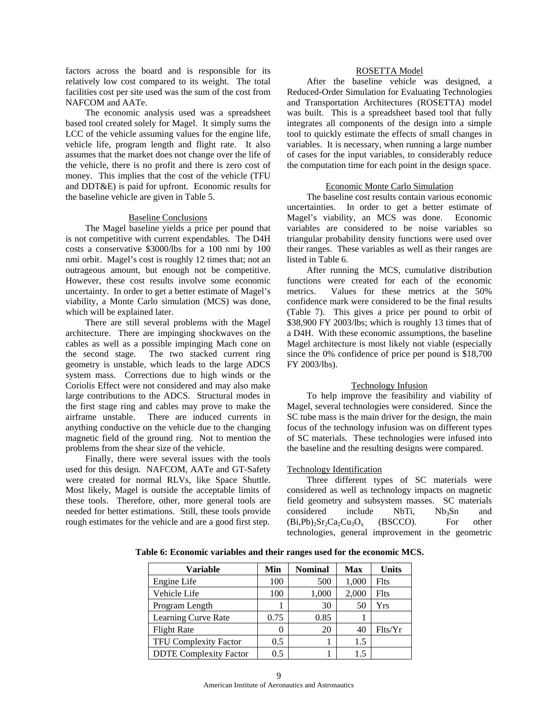factors across the board and is responsible for its relatively low cost compared to its weight. The total facilities cost per site used was the sum of the cost from NAFCOM and AATe.

The economic analysis used was a spreadsheet based tool created solely for Magel. It simply sums the LCC of the vehicle assuming values for the engine life, vehicle life, program length and flight rate. It also assumes that the market does not change over the life of the vehicle, there is no profit and there is zero cost of money. This implies that the cost of the vehicle (TFU and DDT&E) is paid for upfront. Economic results for the baseline vehicle are given in Table 5.

# Baseline Conclusions

The Magel baseline yields a price per pound that is not competitive with current expendables. The D4H costs a conservative \$3000/lbs for a 100 nmi by 100 nmi orbit[.](#page-4-0) Magel's cost is roughly 12 times that; not an outrageous amount, but enough not be competitive. However, these cost results involve some economic uncertainty. In order to get a better estimate of Magel's viability, a Monte Carlo simulation (MCS) was done, which will be explained later.

There are still several problems with the Magel architecture. There are impinging shockwaves on the cables as well as a possible impinging Mach cone on the second stage. The two stacked current ring geometry is unstable, which leads to the large ADCS system mass. Corrections due to high winds or the Coriolis Effect were not considered and may also make large contributions to the ADCS. Structural modes in the first stage ring and cables may prove to make the airframe unstable. There are induced currents in anything conductive on the vehicle due to the changing magnetic field of the ground ring. Not to mention the problems from the shear size of the vehicle.

Finally, there were several issues with the tools used for this design. NAFCOM, AATe and GT-Safety were created for normal RLVs, like Space Shuttle. Most likely, Magel is outside the acceptable limits of these tools. Therefore, other, more general tools are needed for better estimations. Still, these tools provide rough estimates for the vehicle and are a good first step.

# ROSETTA Model

After the baseline vehicle was designed, a Reduced-Order Simulation for Evaluating Technologies and Transportation Architectures (ROSETTA) model was built. This is a spreadsheet based tool that fully integrates all components of the design into a simple tool to quickly estimate the effects of small changes in variables. It is necessary, when running a large number of cases for the input variables, to considerably reduce the computation time for each point in the design space.

# Economic Monte Carlo Simulation

The baseline cost results contain various economic uncertainties. In order to get a better estimate of Magel's viability, an MCS was done. Economic variables are considered to be noise variables so triangular probability density functions were used over their ranges. These variables as well as their ranges are listed in Table 6.

After running the MCS, cumulative distribution functions were created for each of the economic metrics. Values for these metrics at the 50% confidence mark were considered to be the final results (Table 7). This gives a price per pound to orbit of \$38,900 FY 2003/lbs; which is roughly 13 times that of a D4H. With these economic assumptions, the baseline Magel architecture is most likely not viable (especially since the 0% confidence of price per pound is \$18,700 FY 2003/lbs).

#### Technology Infusion

To help improve the feasibility and viability of Magel, several technologies were considered. Since the SC tube mass is the main driver for the design, the main focus of the technology infusion was on different types of SC materials. These technologies were infused into the baseline and the resulting designs were compared.

#### Technology Identification

Three different types of SC materials were considered as well as technology impacts on magnetic field geometry and subsystem masses. SC materials considered include  $NbTi$ ,  $Nb<sub>3</sub>Sn$  and  $(Bi, Pb)<sub>2</sub>Sr<sub>2</sub>Ca<sub>2</sub>Cu<sub>3</sub>O<sub>x</sub>$  (BSCCO). For other technologies, general improvement in the geometric

**Table 6: Economic variables and their ranges used for the economic MCS.** 

| <b>Variable</b>               | Min  | <b>Nominal</b> | <b>Max</b> | <b>Units</b> |
|-------------------------------|------|----------------|------------|--------------|
| Engine Life                   | 100  | 500            | 1,000      | <b>Flts</b>  |
| Vehicle Life                  | 100  | 1,000          | 2,000      | <b>Flts</b>  |
| Program Length                |      | 30             | 50         | <b>Yrs</b>   |
| Learning Curve Rate           | 0.75 | 0.85           |            |              |
| <b>Flight Rate</b>            | 0    | 20             | 40         | Flts/Yr      |
| <b>TFU Complexity Factor</b>  | 0.5  |                | 1.5        |              |
| <b>DDTE Complexity Factor</b> | 0.5  |                |            |              |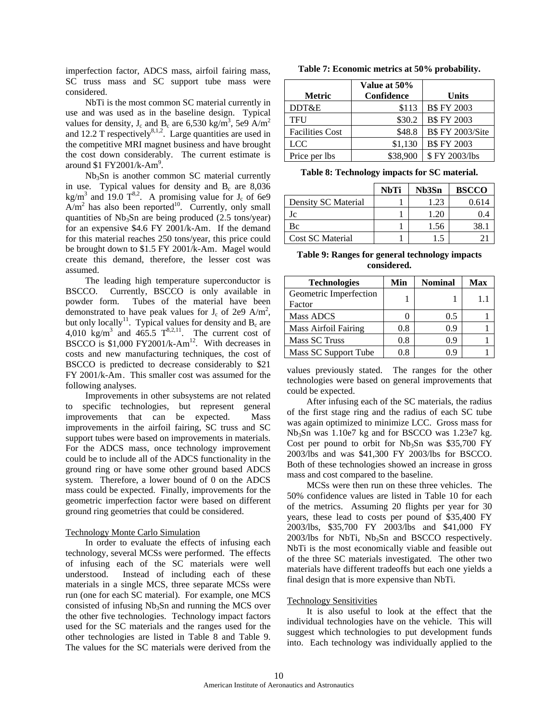imperfection factor, ADCS mass, airfoil fairing mass, SC truss mass and SC support tube mass were considered.

<span id="page-9-0"></span>NbTi is the most common SC material currently in use and was used as in the baseline design. Typical values for density,  $J_c$  and  $B_c$  are 6,530 kg/m<sup>3</sup>, 5e9 A/m<sup>2</sup> and 12.2 T respectively<sup>[8,](#page-10-7)[1,](#page-3-0)2</sup>. Large quantities are used in the competitive MRI magnet business and have brought the cost down considerably. The current estimate is around  $$1 FY2001/k-Am<sup>9</sup>$  $$1 FY2001/k-Am<sup>9</sup>$  $$1 FY2001/k-Am<sup>9</sup>$ .

<span id="page-9-1"></span>Nb<sub>3</sub>Sn is another common SC material currently in use. Typical values for density and  $B<sub>c</sub>$  are 8,036 kg/m<sup>3</sup> and 19.0 T<sup>8,2</sup>. A promising value for  $J_c$  of 6e9  $A/m<sup>2</sup>$  has also been reported<sup>10</sup>. Currently, only small quantities of  $Nb<sub>3</sub>Sn$  are being produced (2.5 tons/year) for an expensive \$4.6 FY 2001/k-A[m.](#page-9-1) If the demand for this material reaches 250 tons/year, this price could be brought down to \$1.5 FY 2001/k-Am. M[ag](#page-9-1)el would create this demand, therefore, the lesser cost was assumed.

<span id="page-9-2"></span>The leading high temperature superconductor is BSCCO. Currently, BSCCO is only available in powder form. Tubes of the material have been demonstrated to have peak values for  $J_c$  of 2e9 A/m<sup>2</sup>, but only locally<sup>11</sup>. Typical values for density and  $B_c$  are 4,010 kg/m<sup>3</sup> and 465.5 T<sup>8,[2,](#page-3-1)11</sup>. The current cost of BSCCO is  $$1,000$  FY2001/k-Am<sup>12</sup>. With decreases in costs and new manufacturing techniques, the cost of BSCCO is predicted to decrease considerably to \$21 FY 2001/k-Am[. T](#page-9-3)his smaller cost was assumed for the following analyses.

Improvements in other subsystems are not related to specific technologies, but represent general improvements that can be expected. Mass improvements in the airfoil fairing, SC truss and SC support tubes were based on improvements in materials. For the ADCS mass, once technology improvement could be to include all of the ADCS functionality in the ground ring or have some other ground based ADCS system. Therefore, a lower bound of 0 on the ADCS mass could be expected. Finally, improvements for the geometric imperfection factor were based on different ground ring geometries that could be considered.

### Technology Monte Carlo Simulation

In order to evaluate the effects of infusing each technology, several MCSs were performed. The effects of infusing each of the SC materials were well understood. Instead of including each of these materials in a single MCS, three separate MCSs were run (one for each SC material). For example, one MCS consisted of infusing  $Nb<sub>3</sub>Sn$  and running the MCS over the other five technologies. Technology impact factors used for the SC materials and the ranges used for the other technologies are listed in Table 8 and Table 9. The values for the SC materials were derived from the

**Table 7: Economic metrics at 50% probability.**

| <b>Metric</b>          | Value at 50%<br>Confidence | <b>Units</b>       |
|------------------------|----------------------------|--------------------|
| DDT&E                  | \$113                      | <b>B\$FY 2003</b>  |
| <b>TFU</b>             | \$30.2                     | <b>B\$ FY 2003</b> |
| <b>Facilities Cost</b> | \$48.8                     | B\$ FY 2003/Site   |
| LCC                    | \$1,130                    | <b>B\$FY 2003</b>  |
| Price per lbs          | \$38,900                   | \$FY 2003/lbs      |

**Table 8: Technology impacts for SC material.** 

|                     | <b>NbTi</b> | Nb3Sn | <b>BSCCO</b> |
|---------------------|-------------|-------|--------------|
| Density SC Material |             | 1.23  | 0.614        |
| Jc                  |             | 1.20  | 0.4          |
| Вc                  |             | 1.56  | 38.1         |
| Cost SC Material    |             | 1.5   |              |

**Table 9: Ranges for general technology impacts considered.** 

| <b>Technologies</b>              | Min | <b>Nominal</b> | Max |
|----------------------------------|-----|----------------|-----|
| Geometric Imperfection<br>Factor |     |                | 1.1 |
| <b>Mass ADCS</b>                 |     | 0.5            |     |
| <b>Mass Airfoil Fairing</b>      | 0.8 | 0.9            |     |
| Mass SC Truss                    | 0.8 | 0.9            |     |
| Mass SC Support Tube             | ۱х  | () 9           |     |

<span id="page-9-3"></span>values previously stated. The ranges for the other technologies were based on general improvements that could be expected.

After infusing each of the SC materials, the radius of the first stage ring and the radius of each SC tube was again optimized to minimize LCC. Gross mass for Nb<sub>3</sub>Sn was 1.10e7 kg and for BSCCO was 1.23e7 kg. Cost per pound to orbit for  $Nb<sub>3</sub>Sn$  was \$35,700 FY 2003/lbs and was \$41,300 FY 2003/lbs for BSCCO. Both of these technologies showed an increase in gross mass and cost compared to the baseline.

MCSs were then run on these three vehicles. The 50% confidence values are listed in Table 10 for each of the metrics. Assuming 20 flights per year for 30 years, these lead to costs per pound of \$35,400 FY 2003/lbs, \$35,700 FY 2003/lbs and \$41,000 FY  $2003/lbs$  for NbTi, Nb<sub>3</sub>Sn and BSCCO respectively. NbTi is the most economically viable and feasible out of the three SC materials investigated. The other two materials have different tradeoffs but each one yields a final design that is more expensive than NbTi.

# Technology Sensitivities

It is also useful to look at the effect that the individual technologies have on the vehicle. This will suggest which technologies to put development funds into. Each technology was individually applied to the